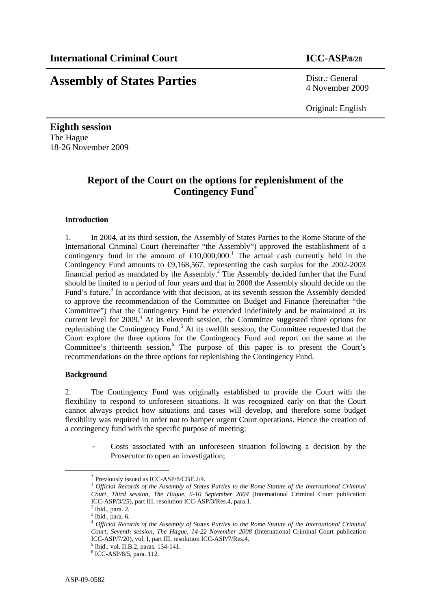# **Assembly of States Parties** Distr.: General

4 November 2009

Original: English

**Eighth session**  The Hague 18-26 November 2009

## **Report of the Court on the options for replenishment of the Contingency Fund**\*

#### **Introduction**

1. In 2004, at its third session, the Assembly of States Parties to the Rome Statute of the International Criminal Court (hereinafter "the Assembly") approved the establishment of a contingency fund in the amount of  $\epsilon 10,000,000$ .<sup>1</sup> The actual cash currently held in the Contingency Fund amounts to  $\Theta$ ,168,567, representing the cash surplus for the 2002-2003 financial period as mandated by the Assembly.<sup>2</sup> The Assembly decided further that the Fund should be limited to a period of four years and that in 2008 the Assembly should decide on the Fund's future.<sup>3</sup> In accordance with that decision, at its seventh session the Assembly decided to approve the recommendation of the Committee on Budget and Finance (hereinafter "the Committee") that the Contingency Fund be extended indefinitely and be maintained at its current level for 2009.<sup>4</sup> At its eleventh session, the Committee suggested three options for replenishing the Contingency Fund.<sup>5</sup> At its twelfth session, the Committee requested that the Court explore the three options for the Contingency Fund and report on the same at the Committee's thirteenth session.<sup>6</sup> The purpose of this paper is to present the Court's recommendations on the three options for replenishing the Contingency Fund.

#### **Background**

2. The Contingency Fund was originally established to provide the Court with the flexibility to respond to unforeseen situations. It was recognized early on that the Court cannot always predict how situations and cases will develop, and therefore some budget flexibility was required in order not to hamper urgent Court operations. Hence the creation of a contingency fund with the specific purpose of meeting:

Costs associated with an unforeseen situation following a decision by the Prosecutor to open an investigation;

 <sup>\*</sup> Previously issued as ICC-ASP/8/CBF.2/4.

<sup>1</sup> *Official Records of the Assembly of States Parties to the Rome Statute of the International Criminal Court, Third session, The Hague, 6-10 September 2004* (International Criminal Court publication ICC-ASP/3/25), part III, resolution ICC-ASP/3/Res.4, para.1.

 $<sup>2</sup>$  Ibid., para. 2.</sup>  $3$  Ibid., para. 6.

<sup>4</sup> *Official Records of the Assembly of States Parties to the Rome Statute of the International Criminal Court, Seventh session, The Hague, 14-22 November 2008* (International Criminal Court publication ICC-ASP/7/20), vol. I, part III, resolution ICC-ASP/7/Res.4.

<sup>5</sup> Ibid., vol. II.B.2, paras. 134-141.

<sup>6</sup> ICC-ASP/8/5, para. 112.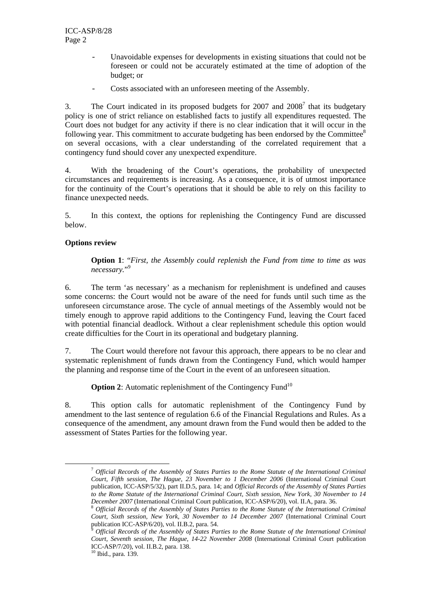- Unavoidable expenses for developments in existing situations that could not be foreseen or could not be accurately estimated at the time of adoption of the budget; or
- Costs associated with an unforeseen meeting of the Assembly.

3. The Court indicated in its proposed budgets for  $2007$  and  $2008<sup>7</sup>$  that its budgetary policy is one of strict reliance on established facts to justify all expenditures requested. The Court does not budget for any activity if there is no clear indication that it will occur in the following year. This commitment to accurate budgeting has been endorsed by the Committee<sup>8</sup> on several occasions, with a clear understanding of the correlated requirement that a contingency fund should cover any unexpected expenditure.

4. With the broadening of the Court's operations, the probability of unexpected circumstances and requirements is increasing. As a consequence, it is of utmost importance for the continuity of the Court's operations that it should be able to rely on this facility to finance unexpected needs.

5. In this context, the options for replenishing the Contingency Fund are discussed below.

### **Options review**

**Option 1**: "*First, the Assembly could replenish the Fund from time to time as was necessary.*" 9

6. The term 'as necessary' as a mechanism for replenishment is undefined and causes some concerns: the Court would not be aware of the need for funds until such time as the unforeseen circumstance arose. The cycle of annual meetings of the Assembly would not be timely enough to approve rapid additions to the Contingency Fund, leaving the Court faced with potential financial deadlock. Without a clear replenishment schedule this option would create difficulties for the Court in its operational and budgetary planning.

7. The Court would therefore not favour this approach, there appears to be no clear and systematic replenishment of funds drawn from the Contingency Fund, which would hamper the planning and response time of the Court in the event of an unforeseen situation.

**Option 2:** Automatic replenishment of the Contingency Fund<sup>10</sup>

8. This option calls for automatic replenishment of the Contingency Fund by amendment to the last sentence of regulation 6.6 of the Financial Regulations and Rules. As a consequence of the amendment, any amount drawn from the Fund would then be added to the assessment of States Parties for the following year.

 <sup>7</sup> *Official Records of the Assembly of States Parties to the Rome Statute of the International Criminal Court, Fifth session, The Hague, 23 November to 1 December 2006* (International Criminal Court publication, ICC-ASP/5/32), part II.D.5, para. 14; and *Official Records of the Assembly of States Parties to the Rome Statute of the International Criminal Court, Sixth session, New York, 30 November to 14* 

*December 2007* (International Criminal Court publication, ICC-ASP/6/20), vol. II.A, para. 36. 8 *Official Records of the Assembly of States Parties to the Rome Statute of the International Criminal Court, Sixth session, New York, 30 November to 14 December 2007* (International Criminal Court publication ICC-ASP/6/20), vol. II.B.2, para. 54.

<sup>9</sup> *Official Records of the Assembly of States Parties to the Rome Statute of the International Criminal Court, Seventh session, The Hague, 14-22 November 2008* (International Criminal Court publication ICC-ASP/7/20), vol. II.B.2, para. 138.

<sup>10</sup> Ibid., para. 139.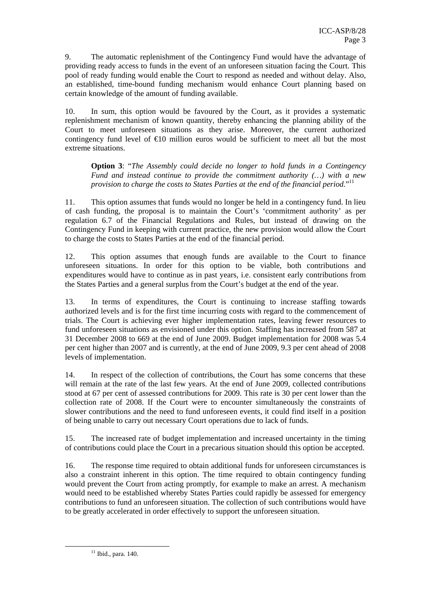9. The automatic replenishment of the Contingency Fund would have the advantage of providing ready access to funds in the event of an unforeseen situation facing the Court. This pool of ready funding would enable the Court to respond as needed and without delay. Also, an established, time-bound funding mechanism would enhance Court planning based on certain knowledge of the amount of funding available.

10. In sum, this option would be favoured by the Court, as it provides a systematic replenishment mechanism of known quantity, thereby enhancing the planning ability of the Court to meet unforeseen situations as they arise. Moreover, the current authorized contingency fund level of  $\epsilon 10$  million euros would be sufficient to meet all but the most extreme situations.

**Option 3**: "*The Assembly could decide no longer to hold funds in a Contingency Fund and instead continue to provide the commitment authority (…) with a new provision to charge the costs to States Parties at the end of the financial period.*" 11

11. This option assumes that funds would no longer be held in a contingency fund. In lieu of cash funding, the proposal is to maintain the Court's 'commitment authority' as per regulation 6.7 of the Financial Regulations and Rules, but instead of drawing on the Contingency Fund in keeping with current practice, the new provision would allow the Court to charge the costs to States Parties at the end of the financial period.

12. This option assumes that enough funds are available to the Court to finance unforeseen situations. In order for this option to be viable, both contributions and expenditures would have to continue as in past years, i.e. consistent early contributions from the States Parties and a general surplus from the Court's budget at the end of the year.

13. In terms of expenditures, the Court is continuing to increase staffing towards authorized levels and is for the first time incurring costs with regard to the commencement of trials. The Court is achieving ever higher implementation rates, leaving fewer resources to fund unforeseen situations as envisioned under this option. Staffing has increased from 587 at 31 December 2008 to 669 at the end of June 2009. Budget implementation for 2008 was 5.4 per cent higher than 2007 and is currently, at the end of June 2009, 9.3 per cent ahead of 2008 levels of implementation.

14. In respect of the collection of contributions, the Court has some concerns that these will remain at the rate of the last few years. At the end of June 2009, collected contributions stood at 67 per cent of assessed contributions for 2009. This rate is 30 per cent lower than the collection rate of 2008. If the Court were to encounter simultaneously the constraints of slower contributions and the need to fund unforeseen events, it could find itself in a position of being unable to carry out necessary Court operations due to lack of funds.

15. The increased rate of budget implementation and increased uncertainty in the timing of contributions could place the Court in a precarious situation should this option be accepted.

16. The response time required to obtain additional funds for unforeseen circumstances is also a constraint inherent in this option. The time required to obtain contingency funding would prevent the Court from acting promptly, for example to make an arrest. A mechanism would need to be established whereby States Parties could rapidly be assessed for emergency contributions to fund an unforeseen situation. The collection of such contributions would have to be greatly accelerated in order effectively to support the unforeseen situation.

 $11$  Ibid., para. 140.